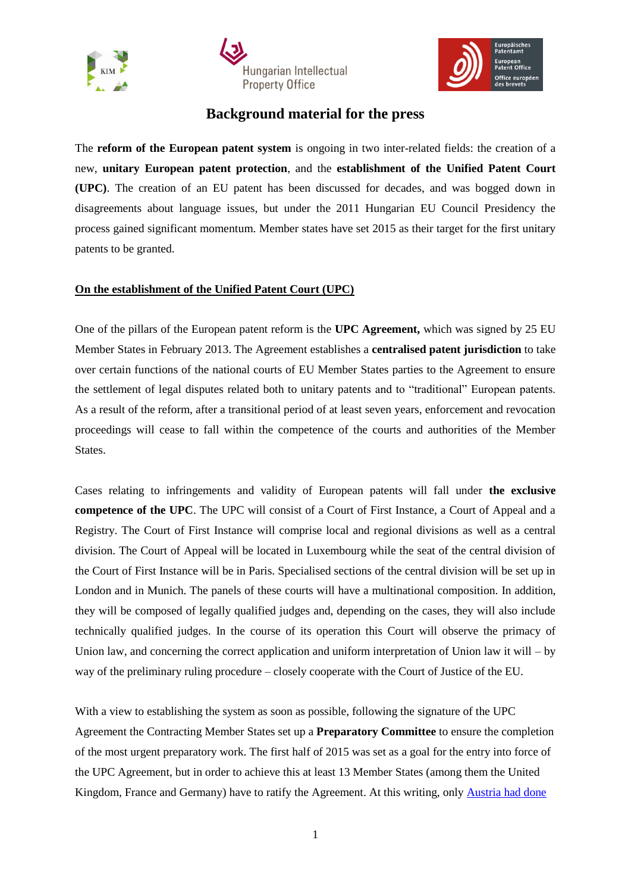





## **Background material for the press**

The **reform of the European patent system** is ongoing in two inter-related fields: the creation of a new, **unitary European patent protection**, and the **establishment of the Unified Patent Court (UPC)**. The creation of an EU patent has been discussed for decades, and was bogged down in disagreements about language issues, but under the 2011 Hungarian EU Council Presidency the process gained significant momentum. Member states have set 2015 as their target for the first unitary patents to be granted.

## **On the establishment of the Unified Patent Court (UPC)**

One of the pillars of the European patent reform is the **UPC Agreement,** which was signed by 25 EU Member States in February 2013. The Agreement establishes a **centralised patent jurisdiction** to take over certain functions of the national courts of EU Member States parties to the Agreement to ensure the settlement of legal disputes related both to unitary patents and to "traditional" European patents. As a result of the reform, after a transitional period of at least seven years, enforcement and revocation proceedings will cease to fall within the competence of the courts and authorities of the Member States.

Cases relating to infringements and validity of European patents will fall under **the exclusive competence of the UPC**. The UPC will consist of a Court of First Instance, a Court of Appeal and a Registry. The Court of First Instance will comprise local and regional divisions as well as a central division. The Court of Appeal will be located in Luxembourg while the seat of the central division of the Court of First Instance will be in Paris. Specialised sections of the central division will be set up in London and in Munich. The panels of these courts will have a multinational composition. In addition, they will be composed of legally qualified judges and, depending on the cases, they will also include technically qualified judges. In the course of its operation this Court will observe the primacy of Union law, and concerning the correct application and uniform interpretation of Union law it will – by way of the preliminary ruling procedure – closely cooperate with the Court of Justice of the EU.

With a view to establishing the system as soon as possible, following the signature of the UPC Agreement the Contracting Member States set up a **Preparatory Committee** to ensure the completion of the most urgent preparatory work. The first half of 2015 was set as a goal for the entry into force of the UPC Agreement, but in order to achieve this at least 13 Member States (among them the United Kingdom, France and Germany) have to ratify the Agreement. At this writing, only [Austria had done](http://ec.europa.eu/internal_market/indprop/patent/ratification/index_en.htm)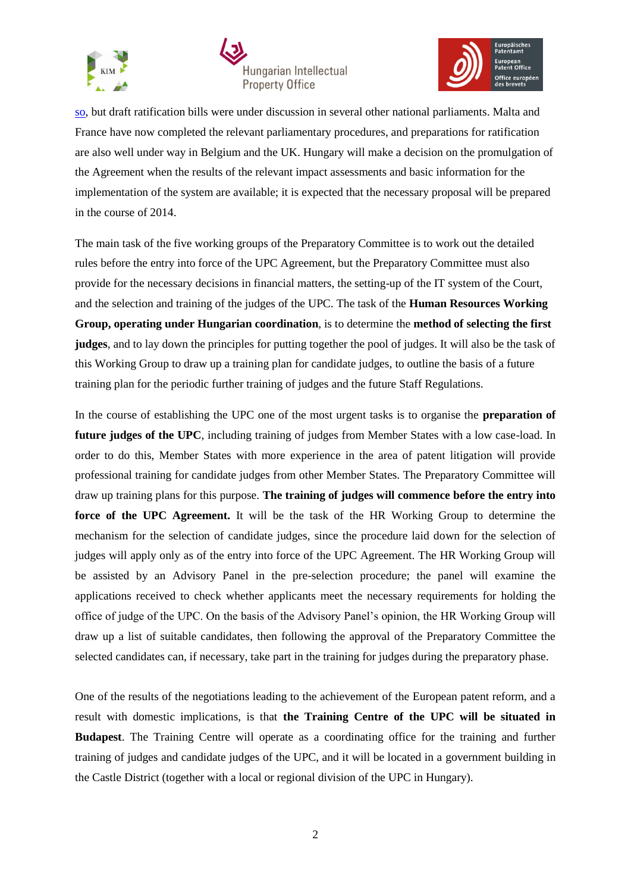





so, but draft ratification bills were under discussion in several other national parliaments. Malta and France have now completed the relevant parliamentary procedures, and preparations for ratification are also well under way in Belgium and the UK. Hungary will make a decision on the promulgation of the Agreement when the results of the relevant impact assessments and basic information for the implementation of the system are available; it is expected that the necessary proposal will be prepared in the course of 2014.

The main task of the five working groups of the Preparatory Committee is to work out the detailed rules before the entry into force of the UPC Agreement, but the Preparatory Committee must also provide for the necessary decisions in financial matters, the setting-up of the IT system of the Court, and the selection and training of the judges of the UPC. The task of the **Human Resources Working Group, operating under Hungarian coordination**, is to determine the **method of selecting the first judges**, and to lay down the principles for putting together the pool of judges. It will also be the task of this Working Group to draw up a training plan for candidate judges, to outline the basis of a future training plan for the periodic further training of judges and the future Staff Regulations.

In the course of establishing the UPC one of the most urgent tasks is to organise the **preparation of future judges of the UPC**, including training of judges from Member States with a low case-load. In order to do this, Member States with more experience in the area of patent litigation will provide professional training for candidate judges from other Member States. The Preparatory Committee will draw up training plans for this purpose. **The training of judges will commence before the entry into force of the UPC Agreement.** It will be the task of the HR Working Group to determine the mechanism for the selection of candidate judges, since the procedure laid down for the selection of judges will apply only as of the entry into force of the UPC Agreement. The HR Working Group will be assisted by an Advisory Panel in the pre-selection procedure; the panel will examine the applications received to check whether applicants meet the necessary requirements for holding the office of judge of the UPC. On the basis of the Advisory Panel's opinion, the HR Working Group will draw up a list of suitable candidates, then following the approval of the Preparatory Committee the selected candidates can, if necessary, take part in the training for judges during the preparatory phase.

One of the results of the negotiations leading to the achievement of the European patent reform, and a result with domestic implications, is that **the Training Centre of the UPC will be situated in Budapest**. The Training Centre will operate as a coordinating office for the training and further training of judges and candidate judges of the UPC, and it will be located in a government building in the Castle District (together with a local or regional division of the UPC in Hungary).